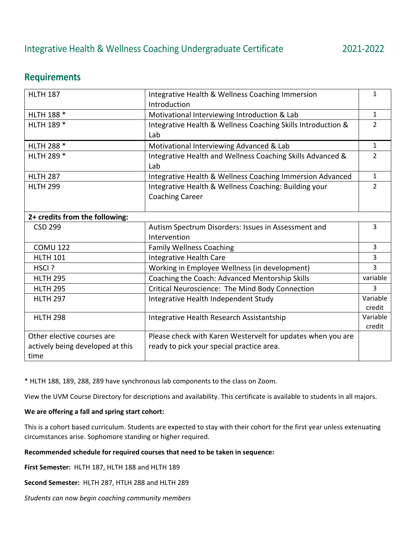# **Requirements**

| <b>HLTH 187</b>                  | Integrative Health & Wellness Coaching Immersion             | $\mathbf{1}$   |
|----------------------------------|--------------------------------------------------------------|----------------|
|                                  | Introduction                                                 |                |
| HLTH 188 *                       | Motivational Interviewing Introduction & Lab                 | $\mathbf{1}$   |
| HLTH 189 *                       | Integrative Health & Wellness Coaching Skills Introduction & | $\overline{2}$ |
|                                  | Lab                                                          |                |
| HLTH 288 *                       | Motivational Interviewing Advanced & Lab                     | $\mathbf{1}$   |
| HLTH 289 *                       | Integrative Health and Wellness Coaching Skills Advanced &   | $\overline{2}$ |
|                                  | Lab                                                          |                |
| <b>HLTH 287</b>                  | Integrative Health & Wellness Coaching Immersion Advanced    | $\mathbf{1}$   |
| <b>HLTH 299</b>                  | Integrative Health & Wellness Coaching: Building your        | $\overline{2}$ |
|                                  | <b>Coaching Career</b>                                       |                |
|                                  |                                                              |                |
| 2+ credits from the following:   |                                                              |                |
| <b>CSD 299</b>                   | Autism Spectrum Disorders: Issues in Assessment and          | 3              |
|                                  | Intervention                                                 |                |
| <b>COMU 122</b>                  | <b>Family Wellness Coaching</b>                              | 3              |
| <b>HLTH 101</b>                  | Integrative Health Care                                      | 3              |
| HSCI?                            | Working in Employee Wellness (in development)                | 3              |
| <b>HLTH 295</b>                  | Coaching the Coach: Advanced Mentorship Skills               | variable       |
| <b>HLTH 295</b>                  | Critical Neuroscience: The Mind Body Connection              | 3              |
| <b>HLTH 297</b>                  | Integrative Health Independent Study                         | Variable       |
|                                  |                                                              | credit         |
| <b>HLTH 298</b>                  | Integrative Health Research Assistantship                    | Variable       |
|                                  |                                                              | credit         |
| Other elective courses are       | Please check with Karen Westervelt for updates when you are  |                |
| actively being developed at this | ready to pick your special practice area.                    |                |
| time                             |                                                              |                |

\* HLTH 188, 189, 288, 289 have synchronous lab components to the class on Zoom.

View the UVM Course Directory for descriptions and availability. This certificate is available to students in all majors.

# **We are offering a fall and spring start cohort:**

This is a cohort based curriculum. Students are expected to stay with their cohort for the first year unless extenuating circumstances arise. Sophomore standing or higher required.

# **Recommended schedule for required courses that need to be taken in sequence:**

**First Semester:** HLTH 187, HLTH 188 and HLTH 189

**Second Semester:** HLTH 287, HTLH 288 and HLTH 289

*Students can now begin coaching community members*